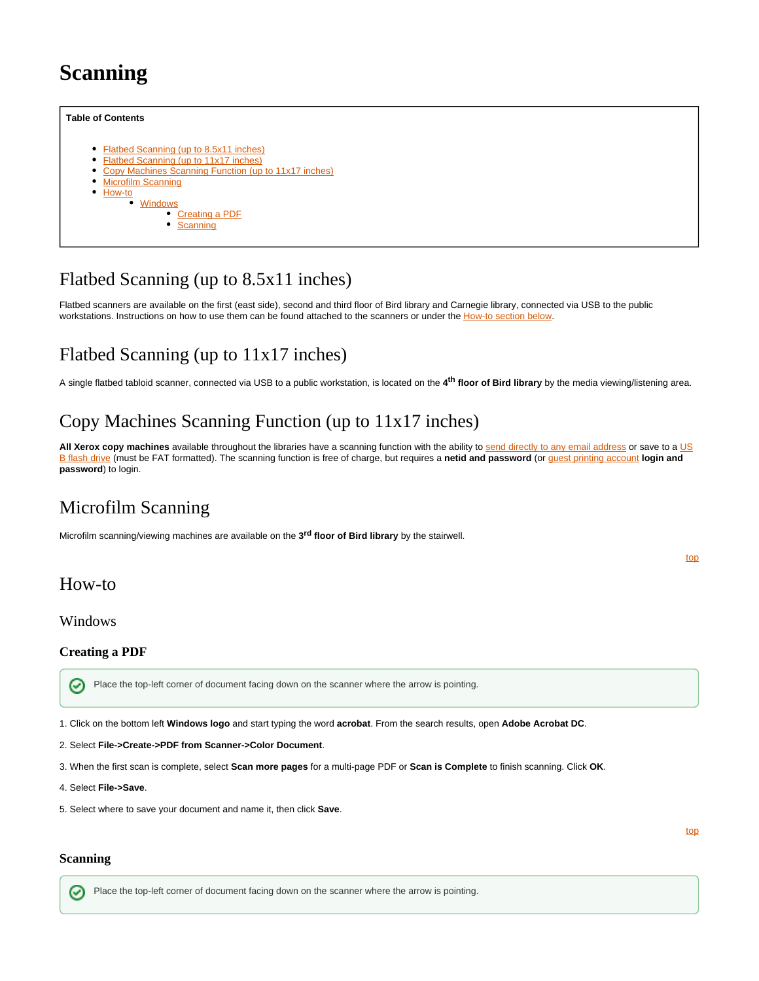# **Scanning**

<span id="page-0-8"></span>

### <span id="page-0-0"></span>Flatbed Scanning (up to 8.5x11 inches)

Flatbed scanners are available on the first (east side), second and third floor of Bird library and Carnegie library, connected via USB to the public workstations. Instructions on how to use them can be found attached to the scanners or under the [How-to section below](https://answers.syr.edu/display/library/Scanning#Scanning-How-to).

## <span id="page-0-1"></span>Flatbed Scanning (up to 11x17 inches)

A single flatbed tabloid scanner, connected via USB to a public workstation, is located on the **4 floor of Bird library** by the media viewing/listening area. **th**

# <span id="page-0-2"></span>Copy Machines Scanning Function (up to 11x17 inches)

All Xerox copy machines available throughout the libraries have a scanning function with the ability to [send directly to any email address](https://answers.syr.edu/display/library/Copying#Copying-ScantoEmail) or save to a [US](https://answers.syr.edu/display/library/Copying#Copying-ScantoUSBDrive) [B flash drive](https://answers.syr.edu/display/library/Copying#Copying-ScantoUSBDrive) (must be FAT formatted). The scanning function is free of charge, but requires a **netid and password** (or [guest printing account](https://answers.syr.edu/pages/viewpage.action?pageId=45884594#GuestsandVisitors(Copy)-Creatingaguestprintingaccount) **login and password**) to login.

### <span id="page-0-3"></span>Microfilm Scanning

Microfilm scanning/viewing machines are available on the 3<sup>rd</sup> floor of Bird library by the stairwell.

<span id="page-0-4"></span>How-to

<span id="page-0-5"></span>Windows

#### <span id="page-0-6"></span>**Creating a PDF**

の Place the top-left corner of document facing down on the scanner where the arrow is pointing.

1. Click on the bottom left **Windows logo** and start typing the word **acrobat**. From the search results, open **Adobe Acrobat DC**.

2. Select **File->Create->PDF from Scanner->Color Document**.

3. When the first scan is complete, select **Scan more pages** for a multi-page PDF or **Scan is Complete** to finish scanning. Click **OK**.

- 4. Select **File->Save**.
- 5. Select where to save your document and name it, then click **Save**.

#### <span id="page-0-7"></span>**Scanning**

Ø

Place the top-left corner of document facing down on the scanner where the arrow is pointing.

[top](#page-0-8)